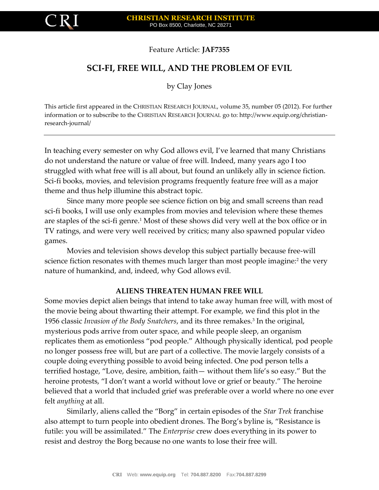

Feature Article: **JAF7355**

# **SCI-FI, FREE WILL, AND THE PROBLEM OF EVIL**

by Clay Jones

This article first appeared in the CHRISTIAN RESEARCH JOURNAL, volume 35, number 05 (2012). For further information or to subscribe to the CHRISTIAN RESEARCH JOURNAL go to: http://www.equip.org/christianresearch-journal/

In teaching every semester on why God allows evil, I've learned that many Christians do not understand the nature or value of free will. Indeed, many years ago I too struggled with what free will is all about, but found an unlikely ally in science fiction. Sci-fi books, movies, and television programs frequently feature free will as a major theme and thus help illumine this abstract topic.

Since many more people see science fiction on big and small screens than read sci-fi books, I will use only examples from movies and television where these themes are staples of the sci-fi genre.<sup>1</sup> Most of these shows did very well at the box office or in TV ratings, and were very well received by critics; many also spawned popular video games.

Movies and television shows develop this subject partially because free-will science fiction resonates with themes much larger than most people imagine:<sup>2</sup> the very nature of humankind, and, indeed, why God allows evil.

## **ALIENS THREATEN HUMAN FREE WILL**

Some movies depict alien beings that intend to take away human free will, with most of the movie being about thwarting their attempt. For example, we find this plot in the 1956 classic *Invasion of the Body Snatchers*, and its three remakes.<sup>3</sup> In the original, mysterious pods arrive from outer space, and while people sleep, an organism replicates them as emotionless "pod people." Although physically identical, pod people no longer possess free will, but are part of a collective. The movie largely consists of a couple doing everything possible to avoid being infected. One pod person tells a terrified hostage, "Love, desire, ambition, faith— without them life's so easy." But the heroine protests, "I don't want a world without love or grief or beauty." The heroine believed that a world that included grief was preferable over a world where no one ever felt *anything* at all.

Similarly, aliens called the "Borg" in certain episodes of the *Star Trek* franchise also attempt to turn people into obedient drones. The Borg's byline is, "Resistance is futile: you will be assimilated." The *Enterprise* crew does everything in its power to resist and destroy the Borg because no one wants to lose their free will.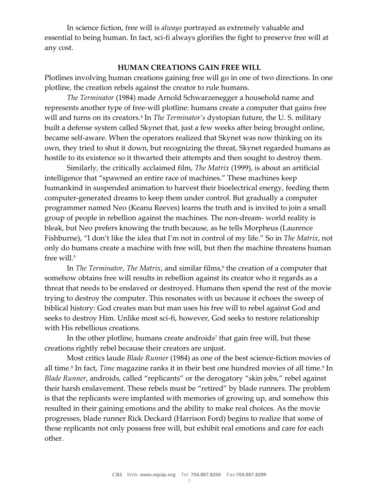In science fiction, free will is *always* portrayed as extremely valuable and essential to being human. In fact, sci-fi always glorifies the fight to preserve free will at any cost.

### **HUMAN CREATIONS GAIN FREE WILL**

Plotlines involving human creations gaining free will go in one of two directions. In one plotline, the creation rebels against the creator to rule humans.

*The Terminator* (1984) made Arnold Schwarzenegger a household name and represents another type of free-will plotline: humans create a computer that gains free will and turns on its creators.<sup>4</sup> In *The Terminator's* dystopian future, the U. S. military built a defense system called Skynet that, just a few weeks after being brought online, became self-aware. When the operators realized that Skynet was now thinking on its own, they tried to shut it down, but recognizing the threat, Skynet regarded humans as hostile to its existence so it thwarted their attempts and then sought to destroy them.

Similarly, the critically acclaimed film, *The Matrix* (1999), is about an artificial intelligence that "spawned an entire race of machines." These machines keep humankind in suspended animation to harvest their bioelectrical energy, feeding them computer-generated dreams to keep them under control. But gradually a computer programmer named Neo (Keanu Reeves) learns the truth and is invited to join a small group of people in rebellion against the machines. The non-dream- world reality is bleak, but Neo prefers knowing the truth because, as he tells Morpheus (Laurence Fishburne), "I don't like the idea that I'm not in control of my life." So in *The Matrix*, not only do humans create a machine with free will, but then the machine threatens human free will.<sup>5</sup>

In *The Terminator, The Matrix,* and similar films,<sup>6</sup> the creation of a computer that somehow obtains free will results in rebellion against its creator who it regards as a threat that needs to be enslaved or destroyed. Humans then spend the rest of the movie trying to destroy the computer. This resonates with us because it echoes the sweep of biblical history: God creates man but man uses his free will to rebel against God and seeks to destroy Him. Unlike most sci-fi, however, God seeks to restore relationship with His rebellious creations.

In the other plotline, humans create androids<sup>7</sup> that gain free will, but these creations rightly rebel because their creators are unjust.

Most critics laude *Blade Runner* (1984) as one of the best science-fiction movies of all time.<sup>8</sup> In fact*, Time* magazine ranks it in their best one hundred movies of all time.<sup>9</sup> In *Blade Runner*, androids, called "replicants" or the derogatory "skin jobs," rebel against their harsh enslavement. These rebels must be "retired" by blade runners. The problem is that the replicants were implanted with memories of growing up, and somehow this resulted in their gaining emotions and the ability to make real choices. As the movie progresses, blade runner Rick Deckard (Harrison Ford) begins to realize that some of these replicants not only possess free will, but exhibit real emotions and care for each other.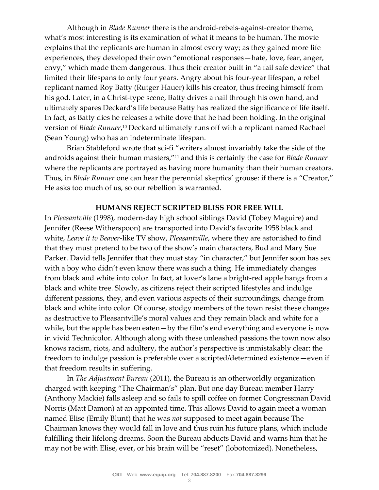Although in *Blade Runner* there is the android-rebels-against-creator theme, what's most interesting is its examination of what it means to be human. The movie explains that the replicants are human in almost every way; as they gained more life experiences, they developed their own "emotional responses—hate, love, fear, anger, envy," which made them dangerous. Thus their creator built in "a fail safe device" that limited their lifespans to only four years. Angry about his four-year lifespan, a rebel replicant named Roy Batty (Rutger Hauer) kills his creator, thus freeing himself from his god. Later, in a Christ-type scene, Batty drives a nail through his own hand, and ultimately spares Deckard's life because Batty has realized the significance of life itself. In fact, as Batty dies he releases a white dove that he had been holding. In the original version of *Blade Runner*, <sup>10</sup> Deckard ultimately runs off with a replicant named Rachael (Sean Young) who has an indeterminate lifespan.

Brian Stableford wrote that sci-fi "writers almost invariably take the side of the androids against their human masters,"<sup>11</sup> and this is certainly the case for *Blade Runner* where the replicants are portrayed as having more humanity than their human creators. Thus, in *Blade Runner* one can hear the perennial skeptics' grouse: if there is a "Creator," He asks too much of us, so our rebellion is warranted.

### **HUMANS REJECT SCRIPTED BLISS FOR FREE WILL**

In *Pleasantville* (1998), modern-day high school siblings David (Tobey Maguire) and Jennifer (Reese Witherspoon) are transported into David's favorite 1958 black and white, *Leave it to Beaver*-like TV show, *Pleasantville*, where they are astonished to find that they must pretend to be two of the show's main characters, Bud and Mary Sue Parker. David tells Jennifer that they must stay "in character," but Jennifer soon has sex with a boy who didn't even know there was such a thing. He immediately changes from black and white into color. In fact, at lover's lane a bright-red apple hangs from a black and white tree. Slowly, as citizens reject their scripted lifestyles and indulge different passions, they, and even various aspects of their surroundings, change from black and white into color. Of course, stodgy members of the town resist these changes as destructive to Pleasantville's moral values and they remain black and white for a while, but the apple has been eaten—by the film's end everything and everyone is now in vivid Technicolor. Although along with these unleashed passions the town now also knows racism, riots, and adultery, the author's perspective is unmistakably clear: the freedom to indulge passion is preferable over a scripted/determined existence—even if that freedom results in suffering.

In *The Adjustment Bureau* (2011), the Bureau is an otherworldly organization charged with keeping "The Chairman's" plan. But one day Bureau member Harry (Anthony Mackie) falls asleep and so fails to spill coffee on former Congressman David Norris (Matt Damon) at an appointed time. This allows David to again meet a woman named Elise (Emily Blunt) that he was *not* supposed to meet again because The Chairman knows they would fall in love and thus ruin his future plans, which include fulfilling their lifelong dreams. Soon the Bureau abducts David and warns him that he may not be with Elise, ever, or his brain will be "reset" (lobotomized). Nonetheless,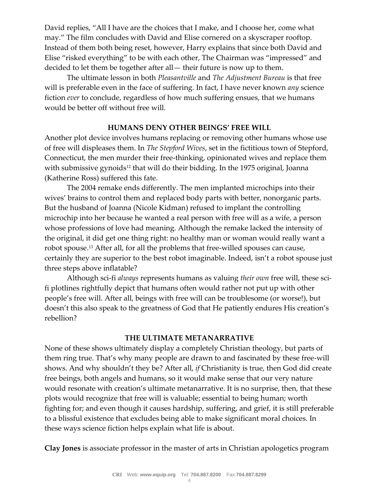David replies, "All I have are the choices that I make, and I choose her, come what may." The film concludes with David and Elise cornered on a skyscraper rooftop. Instead of them both being reset, however, Harry explains that since both David and Elise "risked everything" to be with each other, The Chairman was "impressed" and decided to let them be together after all— their future is now up to them.

The ultimate lesson in both *Pleasantville* and *The Adjustment Bureau* is that free will is preferable even in the face of suffering. In fact, I have never known *any* science fiction *ever* to conclude, regardless of how much suffering ensues, that we humans would be better off without free will.

## **HUMANS DENY OTHER BEINGS' FREE WILL**

Another plot device involves humans replacing or removing other humans whose use of free will displeases them. In *The Stepford Wives*, set in the fictitious town of Stepford, Connecticut, the men murder their free-thinking, opinionated wives and replace them with submissive gynoids<sup>12</sup> that will do their bidding. In the 1975 original, Joanna (Katherine Ross) suffered this fate.

The 2004 remake ends differently. The men implanted microchips into their wives' brains to control them and replaced body parts with better, nonorganic parts. But the husband of Joanna (Nicole Kidman) refused to implant the controlling microchip into her because he wanted a real person with free will as a wife, a person whose professions of love had meaning. Although the remake lacked the intensity of the original, it did get one thing right: no healthy man or woman would really want a robot spouse.<sup>13</sup> After all, for all the problems that free-willed spouses can cause, certainly they are superior to the best robot imaginable. Indeed, isn't a robot spouse just three steps above inflatable?

Although sci-fi *always* represents humans as valuing *their own* free will, these scifi plotlines rightfully depict that humans often would rather not put up with other people's free will. After all, beings with free will can be troublesome (or worse!), but doesn't this also speak to the greatness of God that He patiently endures His creation's rebellion?

## **THE ULTIMATE METANARRATIVE**

None of these shows ultimately display a completely Christian theology, but parts of them ring true. That's why many people are drawn to and fascinated by these free-will shows. And why shouldn't they be? After all, *if* Christianity is true, then God did create free beings, both angels and humans, so it would make sense that our very nature would resonate with creation's ultimate metanarrative. It is no surprise, then, that these plots would recognize that free will is valuable; essential to being human; worth fighting for; and even though it causes hardship, suffering, and grief, it is still preferable to a blissful existence that excludes being able to make significant moral choices. In these ways science fiction helps explain what life is about.

**Clay Jones** is associate professor in the master of arts in Christian apologetics program